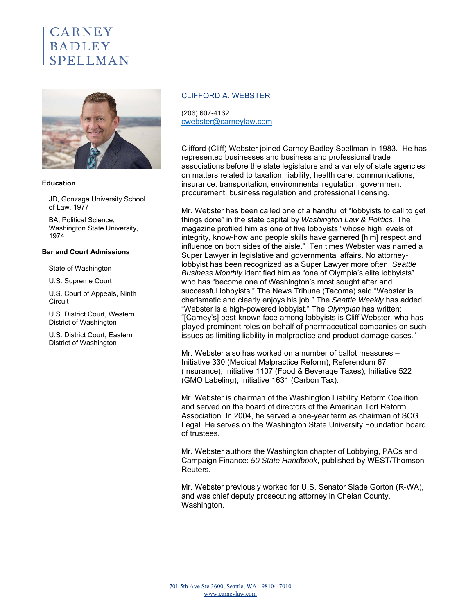# **CARNEY BADLEY** SPELLMAN



#### **Education**

JD, Gonzaga University School of Law, 1977

BA, Political Science, Washington State University, 1974

#### **Bar and Court Admissions**

State of Washington

U.S. Supreme Court

U.S. Court of Appeals, Ninth **Circuit** 

U.S. District Court, Western District of Washington

U.S. District Court, Eastern District of Washington

# CLIFFORD A. WEBSTER

(206) 607-4162 cwebster@carneylaw.com

Clifford (Cliff) Webster joined Carney Badley Spellman in 1983. He has represented businesses and business and professional trade associations before the state legislature and a variety of state agencies on matters related to taxation, liability, health care, communications, insurance, transportation, environmental regulation, government procurement, business regulation and professional licensing.

Mr. Webster has been called one of a handful of "lobbyists to call to get things done" in the state capital by *Washington Law & Politics*. The magazine profiled him as one of five lobbyists "whose high levels of integrity, know-how and people skills have garnered [him] respect and influence on both sides of the aisle." Ten times Webster was named a Super Lawyer in legislative and governmental affairs. No attorneylobbyist has been recognized as a Super Lawyer more often. *Seattle Business Monthly* identified him as "one of Olympia's elite lobbyists" who has "become one of Washington's most sought after and successful lobbyists." The News Tribune (Tacoma) said "Webster is charismatic and clearly enjoys his job." The *Seattle Weekly* has added "Webster is a high-powered lobbyist." The *Olympian* has written: "[Carney's] best-known face among lobbyists is Cliff Webster, who has played prominent roles on behalf of pharmaceutical companies on such issues as limiting liability in malpractice and product damage cases."

Mr. Webster also has worked on a number of ballot measures – Initiative 330 (Medical Malpractice Reform); Referendum 67 (Insurance); Initiative 1107 (Food & Beverage Taxes); Initiative 522 (GMO Labeling); Initiative 1631 (Carbon Tax).

Mr. Webster is chairman of the Washington Liability Reform Coalition and served on the board of directors of the American Tort Reform Association. In 2004, he served a one-year term as chairman of SCG Legal. He serves on the Washington State University Foundation board of trustees.

Mr. Webster authors the Washington chapter of Lobbying, PACs and Campaign Finance: *50 State Handbook*, published by WEST/Thomson Reuters.

Mr. Webster previously worked for U.S. Senator Slade Gorton (R-WA), and was chief deputy prosecuting attorney in Chelan County, Washington.